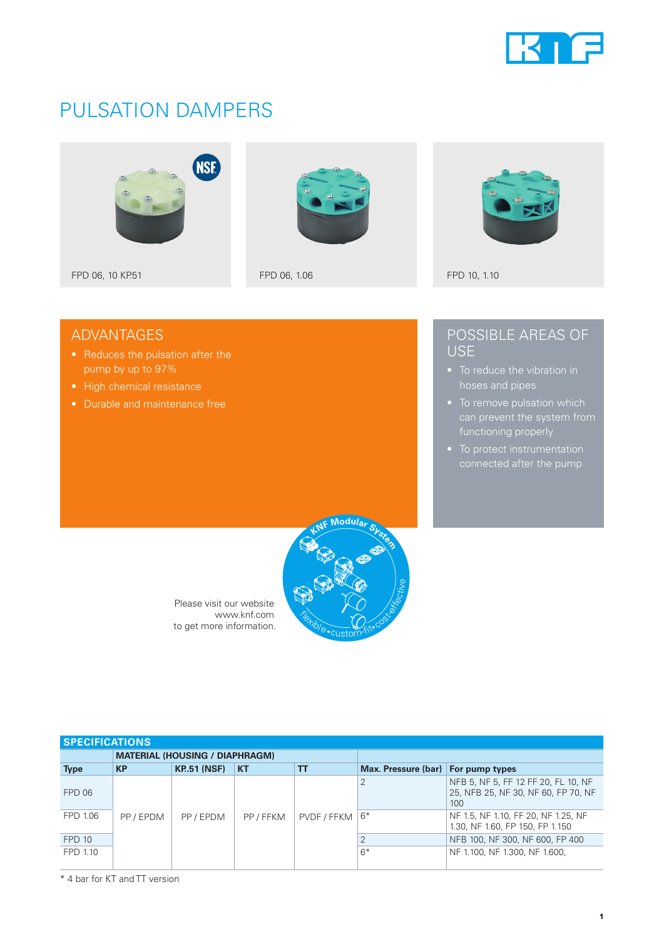

## PULSATION DAMPERS







## ADVANTAGES

- 
- High chemical resistance
- Durable and maintenance free

### POSSIBLE AREAS OF USE

- hoses and pipes
- 
- 



Please visit our website www.knf.com to get more information.

| <b>SPECIFICATIONS</b> |                                       |                    |           |             |                                    |                                                                                   |  |
|-----------------------|---------------------------------------|--------------------|-----------|-------------|------------------------------------|-----------------------------------------------------------------------------------|--|
|                       | <b>MATERIAL (HOUSING / DIAPHRAGM)</b> |                    |           |             |                                    |                                                                                   |  |
| <b>Type</b>           | <b>KP</b>                             | <b>KP.51 (NSF)</b> | <b>KT</b> | TΤ          | Max. Pressure (bar) For pump types |                                                                                   |  |
| FPD 06                |                                       |                    |           |             |                                    | NFB 5, NF 5, FF 12 FF 20, FL 10, NF<br>25, NFB 25, NF 30, NF 60, FP 70, NF<br>100 |  |
| FPD 1.06              | PP / EPDM                             | PP/EPDM            | PP / FFKM | PVDF / FFKM | $6*$                               | NF 1.5, NF 1.10, FF 20, NF 1.25, NF<br>1.30, NF 1.60, FP 150, FP 1.150            |  |
| <b>FPD 10</b>         |                                       |                    |           |             |                                    | NFB 100, NF 300, NF 600, FP 400                                                   |  |
| FPD 1.10              |                                       |                    |           |             | $6*$                               | NF 1.100, NF 1.300, NF 1.600,                                                     |  |

\* 4 bar for KT and TT version